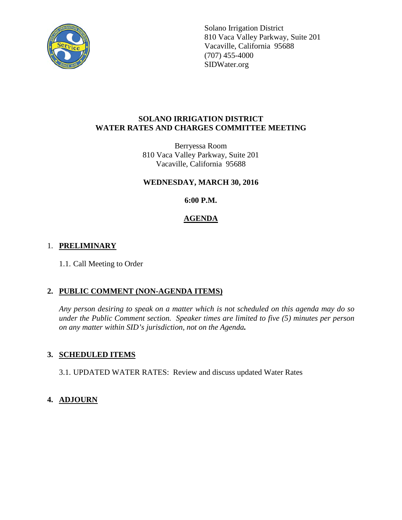

Solano Irrigation District 810 Vaca Valley Parkway, Suite 201 Vacaville, California 95688 (707) 455-4000 SIDWater.org

### **SOLANO IRRIGATION DISTRICT WATER RATES AND CHARGES COMMITTEE MEETING**

Berryessa Room 810 Vaca Valley Parkway, Suite 201 Vacaville, California 95688

## **WEDNESDAY, MARCH 30, 2016**

**6:00 P.M.**

# **AGENDA**

# 1. **PRELIMINARY**

1.1. Call Meeting to Order

# **2. PUBLIC COMMENT (NON-AGENDA ITEMS)**

*Any person desiring to speak on a matter which is not scheduled on this agenda may do so under the Public Comment section. Speaker times are limited to five (5) minutes per person on any matter within SID's jurisdiction, not on the Agenda.*

# **3. SCHEDULED ITEMS**

3.1. UPDATED WATER RATES: Review and discuss updated Water Rates

# **4. ADJOURN**